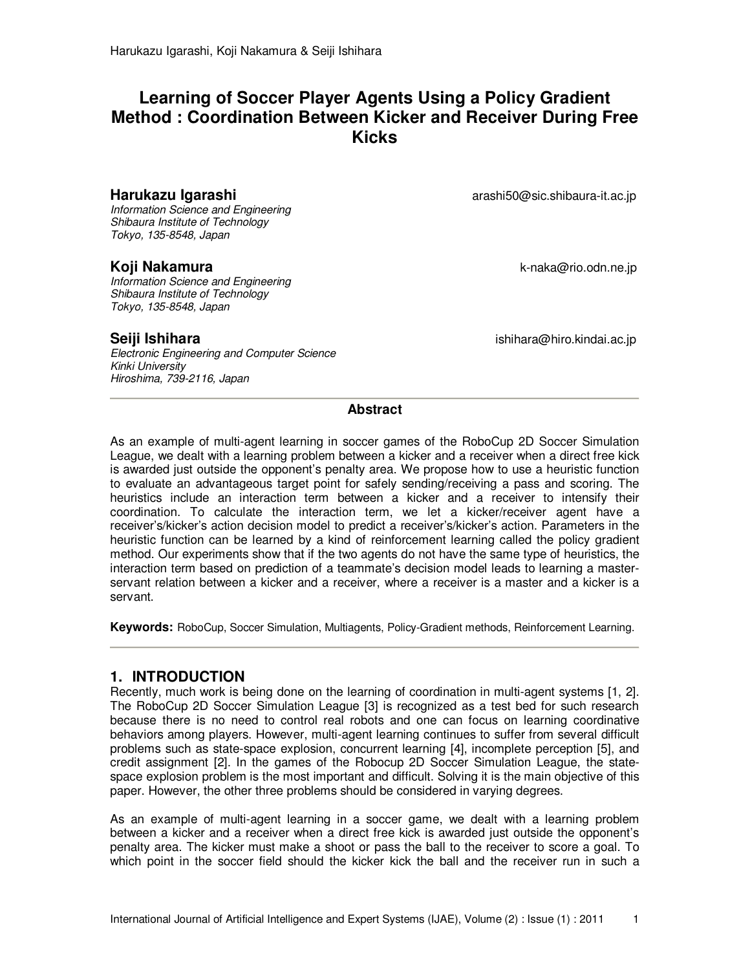# **Learning of Soccer Player Agents Using a Policy Gradient Method : Coordination Between Kicker and Receiver During Free Kicks**

Information Science and Engineering Shibaura Institute of Technology Tokyo, 135-8548, Japan

Information Science and Engineering Shibaura Institute of Technology Tokyo, 135-8548, Japan

Electronic Engineering and Computer Science Kinki University Hiroshima, 739-2116, Japan

**Harukazu Igarashi arashi arashi50@sic.shibaura-it.ac.jp** 

**Koji Nakamura** k-naka@rio.odn.ne.jp

**Seiji Ishihara ishihara ishihara** ishihara@hiro.kindai.ac.jp

#### **Abstract**

As an example of multi-agent learning in soccer games of the RoboCup 2D Soccer Simulation League, we dealt with a learning problem between a kicker and a receiver when a direct free kick is awarded just outside the opponent's penalty area. We propose how to use a heuristic function to evaluate an advantageous target point for safely sending/receiving a pass and scoring. The heuristics include an interaction term between a kicker and a receiver to intensify their coordination. To calculate the interaction term, we let a kicker/receiver agent have a receiver's/kicker's action decision model to predict a receiver's/kicker's action. Parameters in the heuristic function can be learned by a kind of reinforcement learning called the policy gradient method. Our experiments show that if the two agents do not have the same type of heuristics, the interaction term based on prediction of a teammate's decision model leads to learning a masterservant relation between a kicker and a receiver, where a receiver is a master and a kicker is a servant.

**Keywords:** RoboCup, Soccer Simulation, Multiagents, Policy-Gradient methods, Reinforcement Learning.

## **1. INTRODUCTION**

Recently, much work is being done on the learning of coordination in multi-agent systems [1, 2]. The RoboCup 2D Soccer Simulation League [3] is recognized as a test bed for such research because there is no need to control real robots and one can focus on learning coordinative behaviors among players. However, multi-agent learning continues to suffer from several difficult problems such as state-space explosion, concurrent learning [4], incomplete perception [5], and credit assignment [2]. In the games of the Robocup 2D Soccer Simulation League, the statespace explosion problem is the most important and difficult. Solving it is the main objective of this paper. However, the other three problems should be considered in varying degrees.

As an example of multi-agent learning in a soccer game, we dealt with a learning problem between a kicker and a receiver when a direct free kick is awarded just outside the opponent's penalty area. The kicker must make a shoot or pass the ball to the receiver to score a goal. To which point in the soccer field should the kicker kick the ball and the receiver run in such a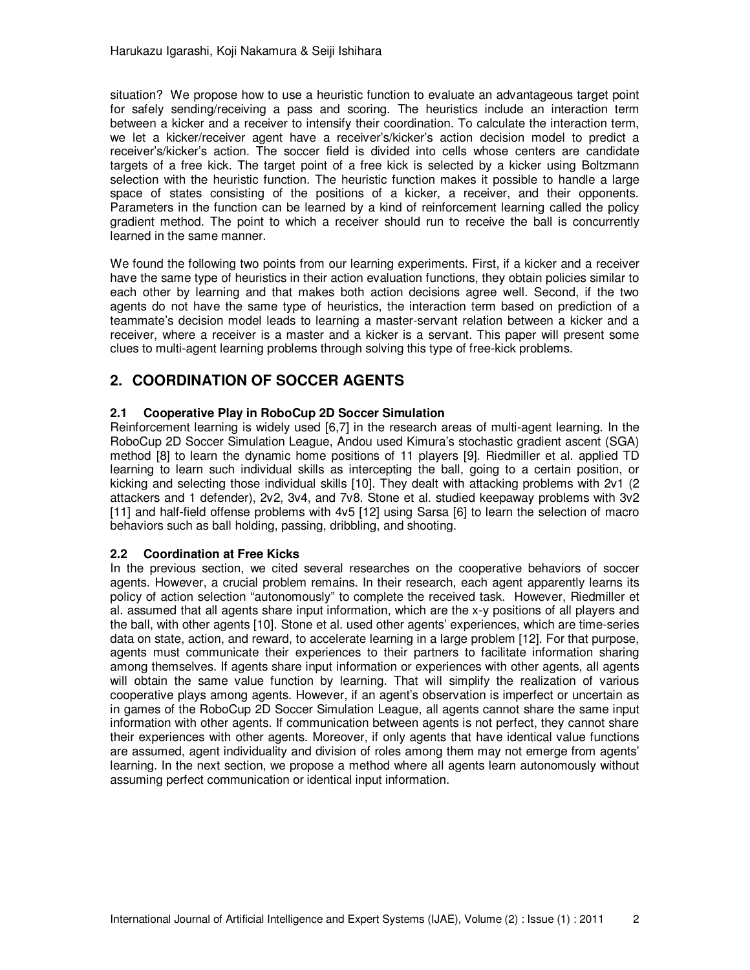situation? We propose how to use a heuristic function to evaluate an advantageous target point for safely sending/receiving a pass and scoring. The heuristics include an interaction term between a kicker and a receiver to intensify their coordination. To calculate the interaction term, we let a kicker/receiver agent have a receiver's/kicker's action decision model to predict a receiver's/kicker's action. The soccer field is divided into cells whose centers are candidate targets of a free kick. The target point of a free kick is selected by a kicker using Boltzmann selection with the heuristic function. The heuristic function makes it possible to handle a large space of states consisting of the positions of a kicker, a receiver, and their opponents. Parameters in the function can be learned by a kind of reinforcement learning called the policy gradient method. The point to which a receiver should run to receive the ball is concurrently learned in the same manner.

We found the following two points from our learning experiments. First, if a kicker and a receiver have the same type of heuristics in their action evaluation functions, they obtain policies similar to each other by learning and that makes both action decisions agree well. Second, if the two agents do not have the same type of heuristics, the interaction term based on prediction of a teammate's decision model leads to learning a master-servant relation between a kicker and a receiver, where a receiver is a master and a kicker is a servant. This paper will present some clues to multi-agent learning problems through solving this type of free-kick problems.

# **2. COORDINATION OF SOCCER AGENTS**

## **2.1 Cooperative Play in RoboCup 2D Soccer Simulation**

Reinforcement learning is widely used [6,7] in the research areas of multi-agent learning. In the RoboCup 2D Soccer Simulation League, Andou used Kimura's stochastic gradient ascent (SGA) method [8] to learn the dynamic home positions of 11 players [9]. Riedmiller et al. applied TD learning to learn such individual skills as intercepting the ball, going to a certain position, or kicking and selecting those individual skills [10]. They dealt with attacking problems with 2v1 (2 attackers and 1 defender), 2v2, 3v4, and 7v8. Stone et al. studied keepaway problems with 3v2 [11] and half-field offense problems with 4v5 [12] using Sarsa [6] to learn the selection of macro behaviors such as ball holding, passing, dribbling, and shooting.

### **2.2 Coordination at Free Kicks**

In the previous section, we cited several researches on the cooperative behaviors of soccer agents. However, a crucial problem remains. In their research, each agent apparently learns its policy of action selection "autonomously" to complete the received task. However, Riedmiller et al. assumed that all agents share input information, which are the x-y positions of all players and the ball, with other agents [10]. Stone et al. used other agents' experiences, which are time-series data on state, action, and reward, to accelerate learning in a large problem [12]. For that purpose, agents must communicate their experiences to their partners to facilitate information sharing among themselves. If agents share input information or experiences with other agents, all agents will obtain the same value function by learning. That will simplify the realization of various cooperative plays among agents. However, if an agent's observation is imperfect or uncertain as in games of the RoboCup 2D Soccer Simulation League, all agents cannot share the same input information with other agents. If communication between agents is not perfect, they cannot share their experiences with other agents. Moreover, if only agents that have identical value functions are assumed, agent individuality and division of roles among them may not emerge from agents' learning. In the next section, we propose a method where all agents learn autonomously without assuming perfect communication or identical input information.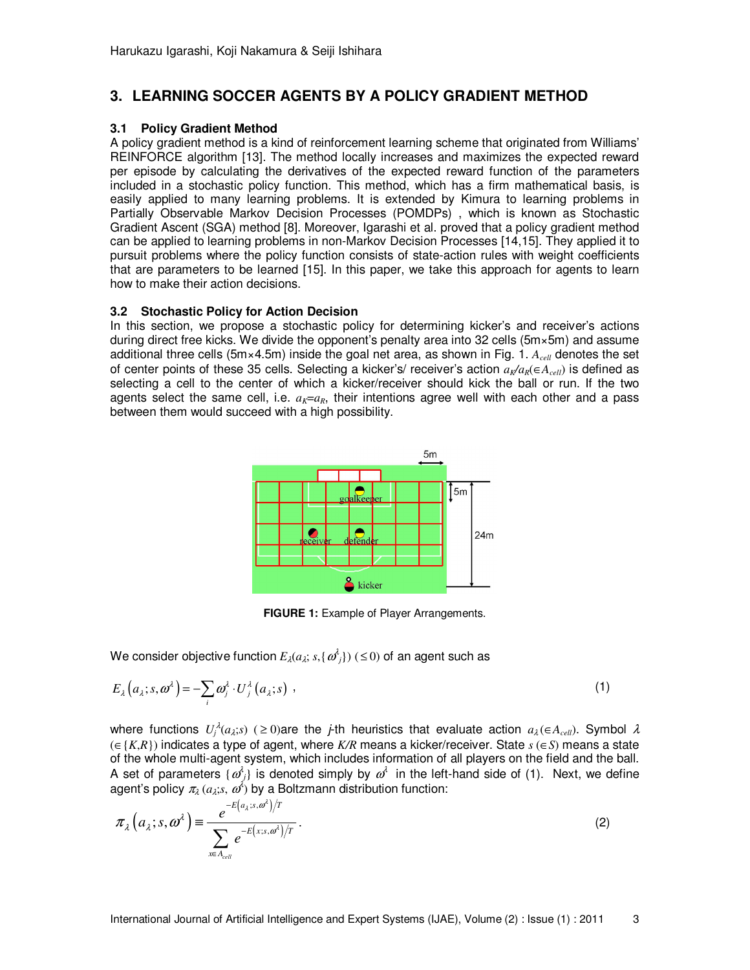# **3. LEARNING SOCCER AGENTS BY A POLICY GRADIENT METHOD**

#### **3.1 Policy Gradient Method**

A policy gradient method is a kind of reinforcement learning scheme that originated from Williams' REINFORCE algorithm [13]. The method locally increases and maximizes the expected reward per episode by calculating the derivatives of the expected reward function of the parameters included in a stochastic policy function. This method, which has a firm mathematical basis, is easily applied to many learning problems. It is extended by Kimura to learning problems in Partially Observable Markov Decision Processes (POMDPs) , which is known as Stochastic Gradient Ascent (SGA) method [8]. Moreover, Igarashi et al. proved that a policy gradient method can be applied to learning problems in non-Markov Decision Processes [14,15]. They applied it to pursuit problems where the policy function consists of state-action rules with weight coefficients that are parameters to be learned [15]. In this paper, we take this approach for agents to learn how to make their action decisions.

#### **3.2 Stochastic Policy for Action Decision**

In this section, we propose a stochastic policy for determining kicker's and receiver's actions during direct free kicks. We divide the opponent's penalty area into 32 cells (5m×5m) and assume additional three cells (5m×4.5m) inside the goal net area, as shown in Fig. 1. *Acell* denotes the set of center points of these 35 cells. Selecting a kicker's/ receiver's action *aK/aR*(∈*Acell*) is defined as selecting a cell to the center of which a kicker/receiver should kick the ball or run. If the two agents select the same cell, i.e.  $a_k = a_k$ , their intentions agree well with each other and a pass between them would succeed with a high possibility.



**FIGURE 1:** Example of Player Arrangements.

We consider objective function  $E_{\lambda}(a_{\lambda}; s, \{\omega^{\lambda}_{j}\})$  (  $\leq$  0) of an agent such as

$$
E_{\lambda}\left(a_{\lambda};s,\omega^{\lambda}\right)=-\sum_{i}\omega_{j}^{\lambda}\cdot U_{j}^{\lambda}\left(a_{\lambda};s\right) , \qquad (1)
$$

where functions  $U_j^{\lambda}(a_\lambda; s)$  ( ≥ 0)are the *j*-th heuristics that evaluate action  $a_\lambda(\in A_{cell})$ . Symbol  $\lambda$ (∈{*K*,*R*}) indicates a type of agent, where *K/R* means a kicker/receiver. State *s* (∈*S*) means a state of the whole multi-agent system, which includes information of all players on the field and the ball. A set of parameters  $\{\omega_j^i\}$  is denoted simply by  $\omega^i$  in the left-hand side of (1). Next, we define agent's policy  $\pi_\lambda(a_\lambda; s, \omega^\delta)$  by a Boltzmann distribution function:

$$
\pi_{\lambda}\left(a_{\lambda};s,\boldsymbol{\omega}^{\lambda}\right) \equiv \frac{e^{-E\left(a_{\lambda};s,\boldsymbol{\omega}^{\lambda}\right)/T}}{\sum_{x \in A_{cell}} e^{-E\left(x;s,\boldsymbol{\omega}^{\lambda}\right)/T}}.
$$
\n(2)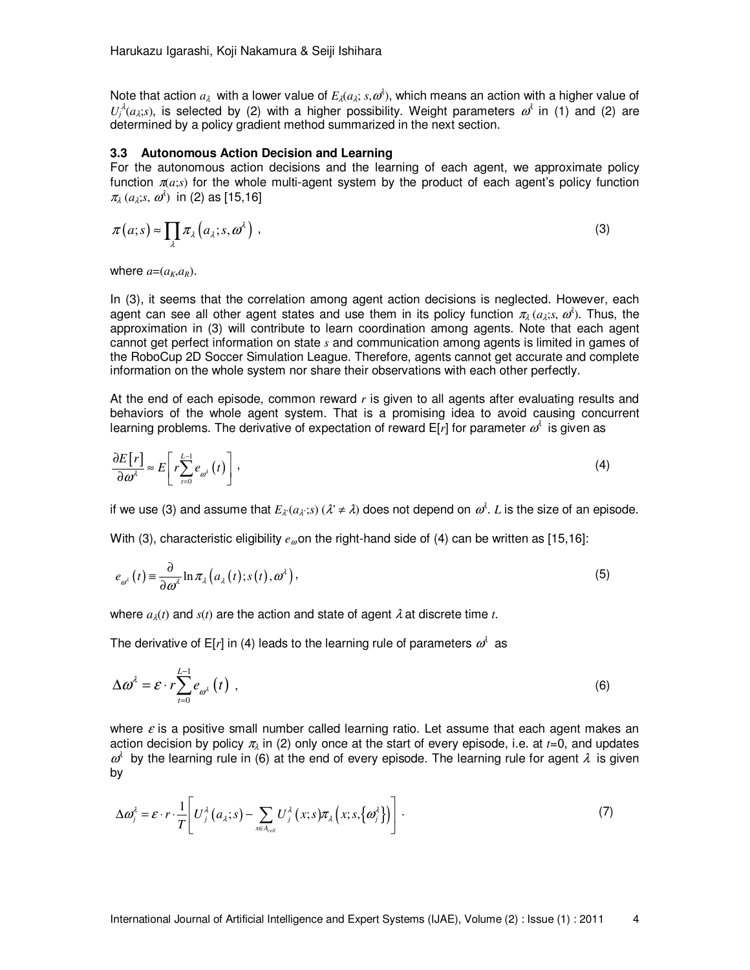Note that action  $a_\lambda$  with a lower value of  $E_\lambda(a_\lambda; s, \omega^\lambda)$ , which means an action with a higher value of  $U_j^{\lambda}(a_\lambda; s)$ , is selected by (2) with a higher possibility. Weight parameters  $\omega^{\lambda}$  in (1) and (2) are determined by a policy gradient method summarized in the next section.

#### **3.3 Autonomous Action Decision and Learning**

For the autonomous action decisions and the learning of each agent, we approximate policy function  $\pi(a; s)$  for the whole multi-agent system by the product of each agent's policy function  $\pi_{\lambda}$  ( $a_{\lambda}$ ;*s*,  $\omega^{\lambda}$ ) in (2) as [15,16]

$$
\pi(a;s) \approx \prod_{\lambda} \pi_{\lambda}(a_{\lambda};s,\omega^{\lambda}), \qquad (3)
$$

where  $a=(a_k, a_k)$ .

In (3), it seems that the correlation among agent action decisions is neglected. However, each agent can see all other agent states and use them in its policy function  $\pi_\lambda(a_\lambda; s, \omega^\lambda)$ . Thus, the approximation in (3) will contribute to learn coordination among agents. Note that each agent cannot get perfect information on state *s* and communication among agents is limited in games of the RoboCup 2D Soccer Simulation League. Therefore, agents cannot get accurate and complete information on the whole system nor share their observations with each other perfectly.

At the end of each episode, common reward *r* is given to all agents after evaluating results and behaviors of the whole agent system. That is a promising idea to avoid causing concurrent learning problems. The derivative of expectation of reward E[r] for parameter  $\omega^\iota$  is given as

$$
\frac{\partial E[r]}{\partial \omega^{\lambda}} \approx E\left[r\sum_{t=0}^{L-1} e_{\omega^{\lambda}}(t)\right],\tag{4}
$$

if we use (3) and assume that  $E_{\lambda}(a_\lambda; s)$  ( $\lambda \neq \lambda$ ) does not depend on  $\omega^\lambda$ . *L* is the size of an episode.

With (3), characteristic eligibility  $e_{\varphi}$  on the right-hand side of (4) can be written as [15,16]:

$$
e_{\omega^{\lambda}}(t) \equiv \frac{\partial}{\partial \omega^{\lambda}} \ln \pi_{\lambda} \left( a_{\lambda}(t); s(t), \omega^{\lambda} \right), \tag{5}
$$

where  $a_{\lambda}(t)$  and  $s(t)$  are the action and state of agent  $\lambda$  at discrete time *t*.

The derivative of E[*r*] in (4) leads to the learning rule of parameters  $\omega^{\wr}$  as

$$
\Delta \omega^{\lambda} = \varepsilon \cdot r \sum_{t=0}^{L-1} e_{\omega^{\lambda}}(t) , \qquad (6)
$$

where  $\varepsilon$  is a positive small number called learning ratio. Let assume that each agent makes an action decision by policy  $\pi_{\lambda}$  in (2) only once at the start of every episode, i.e. at  $t=0$ , and updates  $\omega^i$  by the learning rule in (6) at the end of every episode. The learning rule for agent  $\lambda$  is given by

$$
\Delta \boldsymbol{\omega}_j^{\lambda} = \boldsymbol{\varepsilon} \cdot \boldsymbol{r} \cdot \frac{1}{T} \Bigg[ U_j^{\lambda} \big( a_{\lambda}; s \big) - \sum_{x \in A_{\text{cell}}} U_j^{\lambda} \big( x; s \big) \boldsymbol{\pi}_{\lambda} \big( x; s, \big\{ \boldsymbol{\omega}_j^{\lambda} \big\} \big) \Bigg] \,. \tag{7}
$$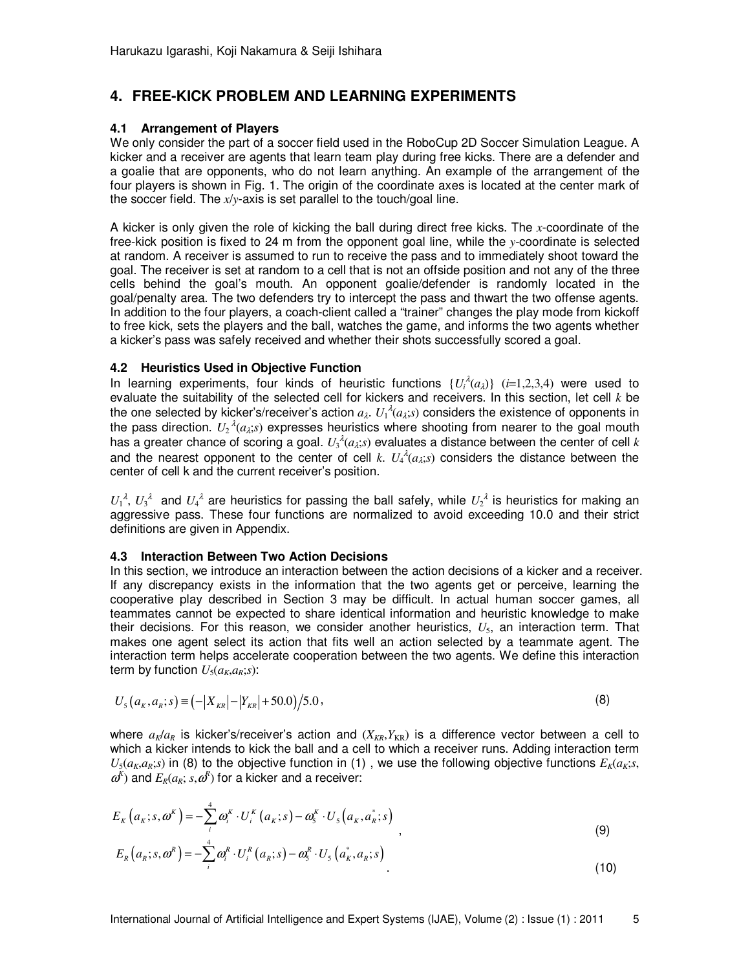# **4. FREE-KICK PROBLEM AND LEARNING EXPERIMENTS**

#### **4.1 Arrangement of Players**

We only consider the part of a soccer field used in the RoboCup 2D Soccer Simulation League. A kicker and a receiver are agents that learn team play during free kicks. There are a defender and a goalie that are opponents, who do not learn anything. An example of the arrangement of the four players is shown in Fig. 1. The origin of the coordinate axes is located at the center mark of the soccer field. The *x*/*y*-axis is set parallel to the touch/goal line.

A kicker is only given the role of kicking the ball during direct free kicks. The *x*-coordinate of the free-kick position is fixed to 24 m from the opponent goal line, while the *y*-coordinate is selected at random. A receiver is assumed to run to receive the pass and to immediately shoot toward the goal. The receiver is set at random to a cell that is not an offside position and not any of the three cells behind the goal's mouth. An opponent goalie/defender is randomly located in the goal/penalty area. The two defenders try to intercept the pass and thwart the two offense agents. In addition to the four players, a coach-client called a "trainer" changes the play mode from kickoff to free kick, sets the players and the ball, watches the game, and informs the two agents whether a kicker's pass was safely received and whether their shots successfully scored a goal.

#### **4.2 Heuristics Used in Objective Function**

In learning experiments, four kinds of heuristic functions  $\{U_i^{\lambda}(a_\lambda)\}\ (i=1,2,3,4)$  were used to evaluate the suitability of the selected cell for kickers and receivers. In this section, let cell *k* be the one selected by kicker's/receiver's action  $a_\lambda$ .  ${U_1}^{\lambda}(a_\lambda; s)$  considers the existence of opponents in the pass direction.  $U_2^{\ \lambda}(a_\lambda; s)$  expresses heuristics where shooting from nearer to the goal mouth has a greater chance of scoring a goal.  $U_3{}^{\lambda}(a_{\lambda};s)$  evaluates a distance between the center of cell  $k$ and the nearest opponent to the center of cell  $k$ .  $U_4^{\lambda}(a_\lambda; s)$  considers the distance between the center of cell k and the current receiver's position.

 $U_1^{\lambda}$ ,  $U_3^{\lambda}$  and  $U_4^{\lambda}$  are heuristics for passing the ball safely, while  $U_2^{\lambda}$  is heuristics for making an aggressive pass. These four functions are normalized to avoid exceeding 10.0 and their strict definitions are given in Appendix.

### **4.3 Interaction Between Two Action Decisions**

In this section, we introduce an interaction between the action decisions of a kicker and a receiver. If any discrepancy exists in the information that the two agents get or perceive, learning the cooperative play described in Section 3 may be difficult. In actual human soccer games, all teammates cannot be expected to share identical information and heuristic knowledge to make their decisions. For this reason, we consider another heuristics, *U*5, an interaction term. That makes one agent select its action that fits well an action selected by a teammate agent. The interaction term helps accelerate cooperation between the two agents. We define this interaction term by function  $U_5(a_K,a_K;s)$ :

$$
U_{5}(a_{K}, a_{K}; s) \equiv \left(-|X_{KR}| - |Y_{KR}| + 50.0\right) / 5.0\,,\tag{8}
$$

where  $a_k/a_k$  is kicker's/receiver's action and  $(X_{KR}, Y_{KR})$  is a difference vector between a cell to which a kicker intends to kick the ball and a cell to which a receiver runs. Adding interaction term  $U_5(a_K,a_K; s)$  in (8) to the objective function in (1), we use the following objective functions  $E_6(a_K; s, s)$  $\omega^{K}$ ) and  $E_{R}(a_{R}; s, \omega^{R})$  for a kicker and a receiver:

$$
E_K\left(a_K; s, \omega^K\right) = -\sum_{i}^{4} \omega_i^K \cdot U_i^K\left(a_K; s\right) - \omega_s^K \cdot U_s\left(a_K, a_K^*; s\right)
$$
  
\n
$$
E_R\left(a_K; s, \omega^K\right) = -\sum_{i}^{4} \omega_i^K \cdot U_i^K\left(a_K; s\right) - \omega_s^K \cdot U_s\left(a_K^*, a_K; s\right)
$$
\n(9)

$$
E_R(a_R, s, \omega) = -\sum_i \omega_i \cdot \sigma_i (a_R, s) - \omega_s \cdot \sigma_s (a_R, a_R, s)
$$
\n
$$
(10)
$$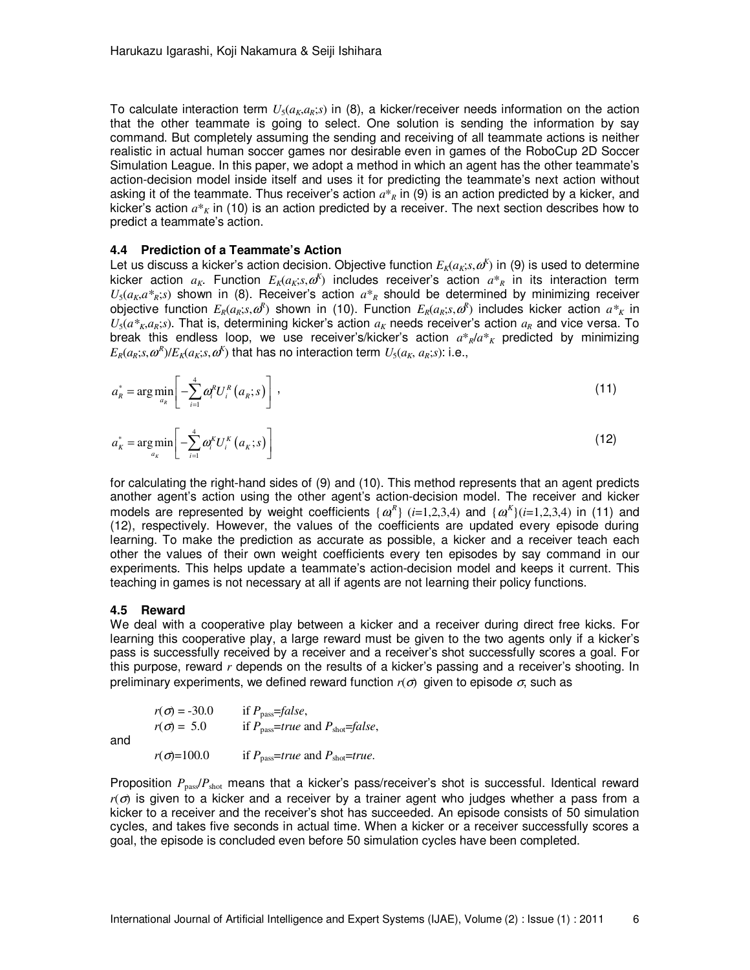To calculate interaction term  $U_5(a_k,a_k;s)$  in (8), a kicker/receiver needs information on the action that the other teammate is going to select. One solution is sending the information by say command. But completely assuming the sending and receiving of all teammate actions is neither realistic in actual human soccer games nor desirable even in games of the RoboCup 2D Soccer Simulation League. In this paper, we adopt a method in which an agent has the other teammate's action-decision model inside itself and uses it for predicting the teammate's next action without asking it of the teammate. Thus receiver's action  $a^*$ <sup>*R*</sup> in (9) is an action predicted by a kicker, and kicker's action  $a^*_{K}$  in (10) is an action predicted by a receiver. The next section describes how to predict a teammate's action.

#### **4.4 Prediction of a Teammate's Action**

Let us discuss a kicker's action decision. Objective function  $E_k(a_k; s, \omega^k)$  in (9) is used to determine kicker action  $a_K$ . Function  $E_K(a_K; s, \omega^K)$  includes receiver's action  $a_{\kappa}$  in its interaction term  $U_5(a_K, a_{K}^*s)$  shown in (8). Receiver's action  $a_{K}$  should be determined by minimizing receiver objective function  $E_R(a_R; s, \omega^R)$  shown in (10). Function  $E_R(a_R; s, \omega^R)$  includes kicker action  $a *_{K}$  in  $U_5(a*_{K},a_K;s)$ . That is, determining kicker's action  $a_K$  needs receiver's action  $a_K$  and vice versa. To break this endless loop, we use receiver's/kicker's action  $a^*{}_R/a^*{}_K$  predicted by minimizing  $E_R(a_R; s, \omega^R)/E_K(a_K; s, \omega^K)$  that has no interaction term  $U_5(a_K; a_K; s)$ : i.e.,

$$
a_{R}^{*} = \arg\min_{a_{R}} \left[ -\sum_{i=1}^{4} \omega_{i}^{R} U_{i}^{R} \left( a_{R}; s \right) \right], \qquad (11)
$$

$$
a_{K}^{*} = \underset{a_{K}}{\arg\min} \left[ -\sum_{i=1}^{4} \omega_{i}^{K} U_{i}^{K} \left( a_{K}; s \right) \right]
$$
 (12)

for calculating the right-hand sides of (9) and (10). This method represents that an agent predicts another agent's action using the other agent's action-decision model. The receiver and kicker models are represented by weight coefficients  $\{\alpha_i^R\}$  (*i*=1,2,3,4) and  $\{\alpha_i^K\}$ (*i*=1,2,3,4) in (11) and (12), respectively. However, the values of the coefficients are updated every episode during learning. To make the prediction as accurate as possible, a kicker and a receiver teach each other the values of their own weight coefficients every ten episodes by say command in our experiments. This helps update a teammate's action-decision model and keeps it current. This teaching in games is not necessary at all if agents are not learning their policy functions.

#### **4.5 Reward**

We deal with a cooperative play between a kicker and a receiver during direct free kicks. For learning this cooperative play, a large reward must be given to the two agents only if a kicker's pass is successfully received by a receiver and a receiver's shot successfully scores a goal. For this purpose, reward *r* depends on the results of a kicker's passing and a receiver's shooting. In preliminary experiments, we defined reward function  $r(\sigma)$  given to episode  $\sigma$ , such as

|     | $r(\sigma) = -30.0$ | if $P_{\text{pass}} = false$ ,                           |
|-----|---------------------|----------------------------------------------------------|
|     | $r(\sigma) = 5.0$   | if $P_{\text{pass}}$ =true and $P_{\text{shot}}$ =false, |
| and |                     |                                                          |
|     | $r(\sigma) = 100.0$ | if $P_{\text{pass}}$ =true and $P_{\text{shot}}$ =true.  |

Proposition *P*pass/*P*shot means that a kicker's pass/receiver's shot is successful. Identical reward *r*(σ) is given to a kicker and a receiver by a trainer agent who judges whether a pass from a kicker to a receiver and the receiver's shot has succeeded. An episode consists of 50 simulation cycles, and takes five seconds in actual time. When a kicker or a receiver successfully scores a goal, the episode is concluded even before 50 simulation cycles have been completed.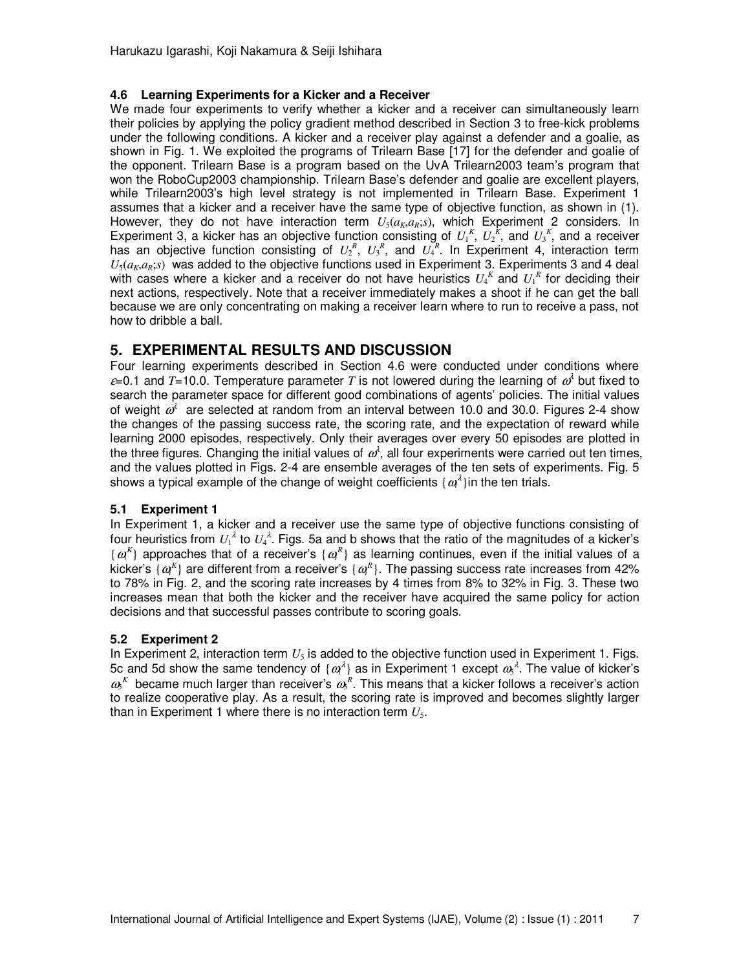#### **4.6 Learning Experiments for a Kicker and a Receiver**

We made four experiments to verify whether a kicker and a receiver can simultaneously learn their policies by applying the policy gradient method described in Section 3 to free-kick problems under the following conditions. A kicker and a receiver play against a defender and a goalie, as shown in Fig. 1. We exploited the programs of Trilearn Base [17] for the defender and goalie of the opponent. Trilearn Base is a program based on the UvA Trilearn2003 team's program that won the RoboCup2003 championship. Trilearn Base's defender and goalie are excellent players, while Trilearn2003's high level strategy is not implemented in Trilearn Base. Experiment 1 assumes that a kicker and a receiver have the same type of objective function, as shown in (1). However, they do not have interaction term  $U_5(a_K,a_K;s)$ , which Experiment 2 considers. In Experiment 3, a kicker has an objective function consisting of  $U_1^K$ ,  $U_2^K$ , and  $U_3^K$ , and a receiver has an objective function consisting of  $U_2^R$ ,  $U_3^R$ , and  $U_4^R$ . In Experiment 4, interaction term  $U_5(a_K,a_K,s)$  was added to the objective functions used in Experiment 3. Experiments 3 and 4 deal with cases where a kicker and a receiver do not have heuristics  $U_4^K$  and  $U_1^R$  for deciding their next actions, respectively. Note that a receiver immediately makes a shoot if he can get the ball because we are only concentrating on making a receiver learn where to run to receive a pass, not how to dribble a ball.

## **5. EXPERIMENTAL RESULTS AND DISCUSSION**

Four learning experiments described in Section 4.6 were conducted under conditions where  $\varepsilon$ =0.1 and T=10.0. Temperature parameter T is not lowered during the learning of  $\omega^i$  but fixed to search the parameter space for different good combinations of agents' policies. The initial values of weight  $\omega^i$  are selected at random from an interval between 10.0 and 30.0. Figures 2-4 show the changes of the passing success rate, the scoring rate, and the expectation of reward while learning 2000 episodes, respectively. Only their averages over every 50 episodes are plotted in the three figures. Changing the initial values of  $\omega^i$ , all four experiments were carried out ten times, and the values plotted in Figs. 2-4 are ensemble averages of the ten sets of experiments. Fig. 5 shows a typical example of the change of weight coefficients { $\alpha^{\lambda}$ } in the ten trials.

### **5.1 Experiment 1**

In Experiment 1, a kicker and a receiver use the same type of objective functions consisting of four heuristics from  $U_1^{\lambda}$  to  $U_4^{\lambda}$ . Figs. 5a and b shows that the ratio of the magnitudes of a kicker's  $\{ \omega^k \}$  approaches that of a receiver's  $\{ \omega^k \}$  as learning continues, even if the initial values of a kicker's  $\{ \omega^R \}$  are different from a receiver's  $\{ \omega^R \}$ . The passing success rate increases from 42% to 78% in Fig. 2, and the scoring rate increases by 4 times from 8% to 32% in Fig. 3. These two increases mean that both the kicker and the receiver have acquired the same policy for action decisions and that successful passes contribute to scoring goals.

### **5.2 Experiment 2**

In Experiment 2, interaction term  $U_5$  is added to the objective function used in Experiment 1. Figs. 5c and 5d show the same tendency of  $\{ \omega^{\lambda} \}$  as in Experiment 1 except  $\omega_{\rm s}^{\lambda}$ . The value of kicker's  $\omega_{\rm s}$ <sup>K</sup> became much larger than receiver's  $\omega_{\rm s}$ <sup>R</sup>. This means that a kicker follows a receiver's action to realize cooperative play. As a result, the scoring rate is improved and becomes slightly larger than in Experiment 1 where there is no interaction term  $U_5$ .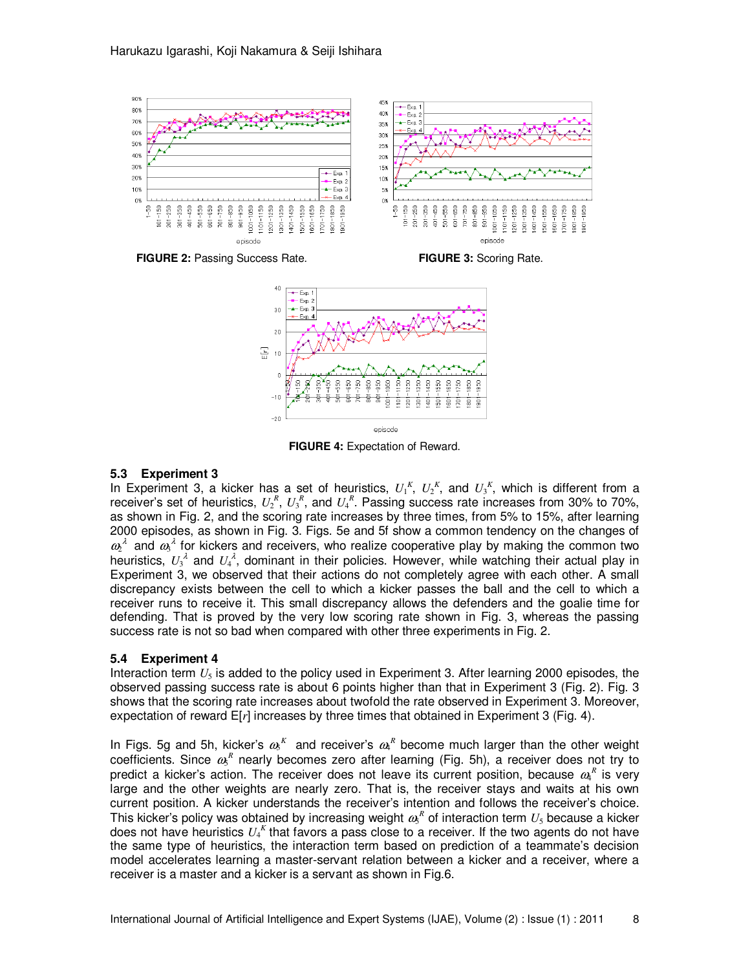

**FIGURE 2:** Passing Success Rate. **FIGURE 3:** Scoring Rate.



**FIGURE 4:** Expectation of Reward.

#### **5.3 Experiment 3**

In Experiment 3, a kicker has a set of heuristics,  $U_1^K$ ,  $U_2^K$ , and  $U_3^K$ , which is different from a receiver's set of heuristics,  $U_2^R$ ,  $U_3^R$ , and  $U_4^R$ . Passing success rate increases from 30% to 70%, as shown in Fig. 2, and the scoring rate increases by three times, from 5% to 15%, after learning 2000 episodes, as shown in Fig. 3. Figs. 5e and 5f show a common tendency on the changes of  $\omega^{\lambda}$  and  $\omega^{\lambda}$  for kickers and receivers, who realize cooperative play by making the common two heuristics,  $U_3^{\lambda}$  and  $U_4^{\lambda}$ , dominant in their policies. However, while watching their actual play in Experiment 3, we observed that their actions do not completely agree with each other. A small discrepancy exists between the cell to which a kicker passes the ball and the cell to which a receiver runs to receive it. This small discrepancy allows the defenders and the goalie time for defending. That is proved by the very low scoring rate shown in Fig. 3, whereas the passing success rate is not so bad when compared with other three experiments in Fig. 2.

#### **5.4 Experiment 4**

Interaction term  $U_5$  is added to the policy used in Experiment 3. After learning 2000 episodes, the observed passing success rate is about 6 points higher than that in Experiment 3 (Fig. 2). Fig. 3 shows that the scoring rate increases about twofold the rate observed in Experiment 3. Moreover, expectation of reward E[*r*] increases by three times that obtained in Experiment 3 (Fig. 4).

In Figs. 5g and 5h, kicker's  $\omega_5^K$  and receiver's  $\omega_4^R$  become much larger than the other weight coefficients. Since  $a_5^R$  nearly becomes zero after learning (Fig. 5h), a receiver does not try to predict a kicker's action. The receiver does not leave its current position, because  $a_4^R$  is very large and the other weights are nearly zero. That is, the receiver stays and waits at his own current position. A kicker understands the receiver's intention and follows the receiver's choice. This kicker's policy was obtained by increasing weight  $a\text{s}^R$  of interaction term  $U_5$  because a kicker does not have heuristics  $U_4^K$  that favors a pass close to a receiver. If the two agents do not have the same type of heuristics, the interaction term based on prediction of a teammate's decision model accelerates learning a master-servant relation between a kicker and a receiver, where a receiver is a master and a kicker is a servant as shown in Fig.6.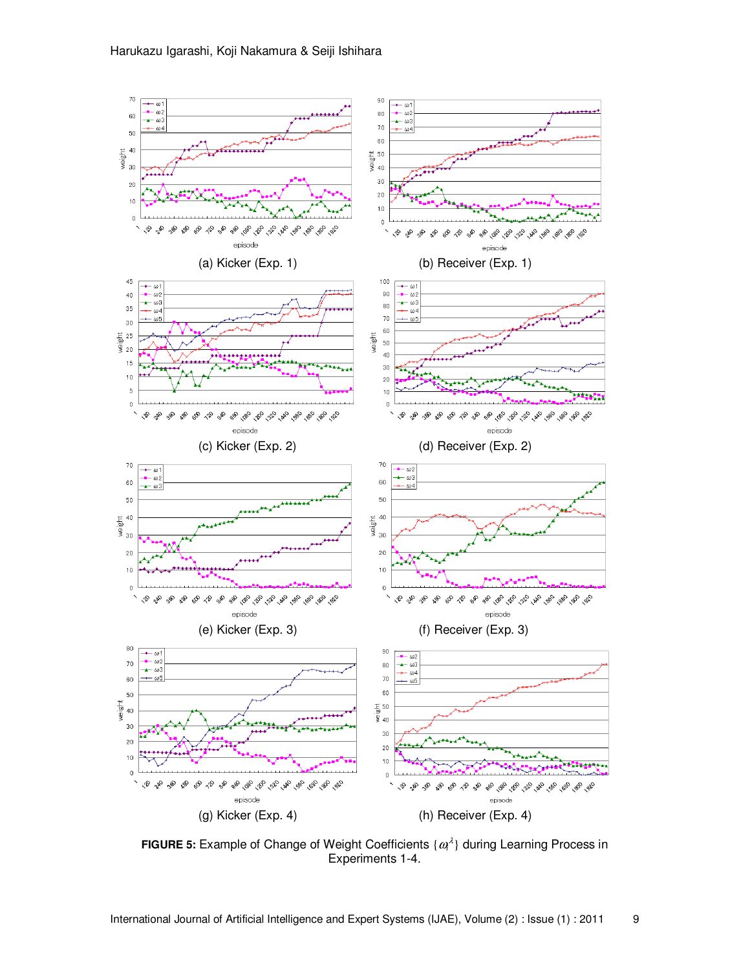

**FIGURE 5:** Example of Change of Weight Coefficients  $\{ \omega_i^{\lambda} \}$  during Learning Process in Experiments 1-4.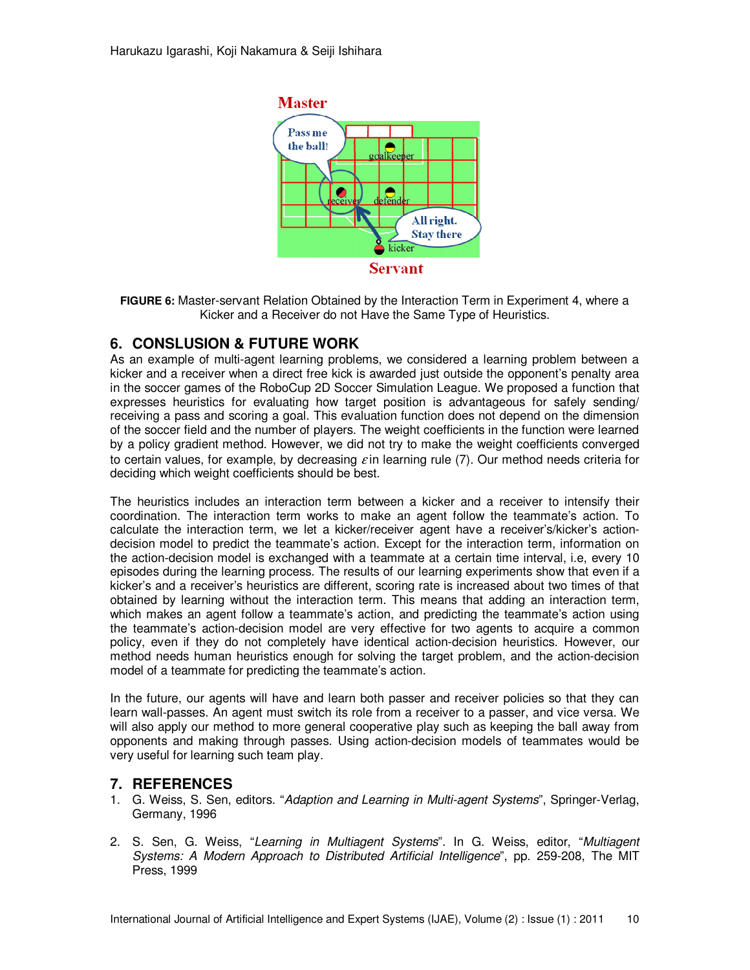

**FIGURE 6:** Master-servant Relation Obtained by the Interaction Term in Experiment 4, where a Kicker and a Receiver do not Have the Same Type of Heuristics.

## **6. CONSLUSION & FUTURE WORK**

As an example of multi-agent learning problems, we considered a learning problem between a kicker and a receiver when a direct free kick is awarded just outside the opponent's penalty area in the soccer games of the RoboCup 2D Soccer Simulation League. We proposed a function that expresses heuristics for evaluating how target position is advantageous for safely sending/ receiving a pass and scoring a goal. This evaluation function does not depend on the dimension of the soccer field and the number of players. The weight coefficients in the function were learned by a policy gradient method. However, we did not try to make the weight coefficients converged to certain values, for example, by decreasing  $\varepsilon$  in learning rule (7). Our method needs criteria for deciding which weight coefficients should be best.

The heuristics includes an interaction term between a kicker and a receiver to intensify their coordination. The interaction term works to make an agent follow the teammate's action. To calculate the interaction term, we let a kicker/receiver agent have a receiver's/kicker's actiondecision model to predict the teammate's action. Except for the interaction term, information on the action-decision model is exchanged with a teammate at a certain time interval, i.e, every 10 episodes during the learning process. The results of our learning experiments show that even if a kicker's and a receiver's heuristics are different, scoring rate is increased about two times of that obtained by learning without the interaction term. This means that adding an interaction term, which makes an agent follow a teammate's action, and predicting the teammate's action using the teammate's action-decision model are very effective for two agents to acquire a common policy, even if they do not completely have identical action-decision heuristics. However, our method needs human heuristics enough for solving the target problem, and the action-decision model of a teammate for predicting the teammate's action.

In the future, our agents will have and learn both passer and receiver policies so that they can learn wall-passes. An agent must switch its role from a receiver to a passer, and vice versa. We will also apply our method to more general cooperative play such as keeping the ball away from opponents and making through passes. Using action-decision models of teammates would be very useful for learning such team play.

## **7. REFERENCES**

- 1. G. Weiss, S. Sen, editors. "Adaption and Learning in Multi-agent Systems", Springer-Verlag, Germany, 1996
- 2. S. Sen, G. Weiss, "Learning in Multiagent Systems". In G. Weiss, editor, "Multiagent Systems: A Modern Approach to Distributed Artificial Intelligence", pp. 259-208, The MIT Press, 1999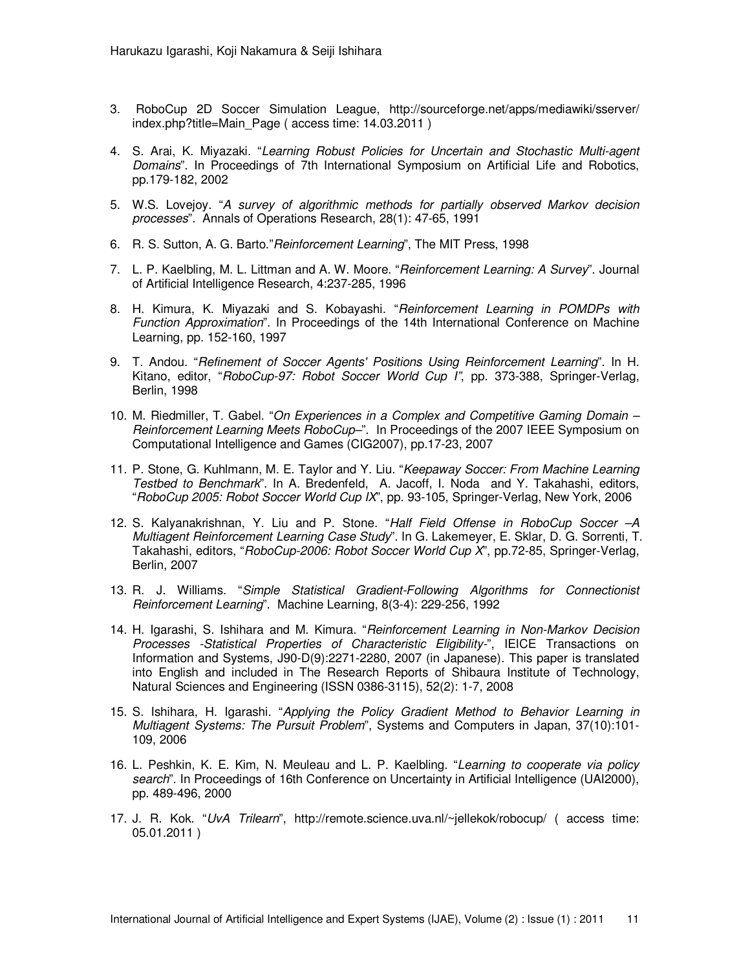- 3. RoboCup 2D Soccer Simulation League, http://sourceforge.net/apps/mediawiki/sserver/ index.php?title=Main\_Page ( access time: 14.03.2011 )
- 4. S. Arai, K. Miyazaki. "Learning Robust Policies for Uncertain and Stochastic Multi-agent Domains". In Proceedings of 7th International Symposium on Artificial Life and Robotics, pp.179-182, 2002
- 5. W.S. Lovejoy. "A survey of algorithmic methods for partially observed Markov decision processes". Annals of Operations Research, 28(1): 47-65, 1991
- 6. R. S. Sutton, A. G. Barto." Reinforcement Learning", The MIT Press, 1998
- 7. L. P. Kaelbling, M. L. Littman and A. W. Moore. "Reinforcement Learning: A Survey". Journal of Artificial Intelligence Research, 4:237-285, 1996
- 8. H. Kimura, K. Miyazaki and S. Kobayashi. "Reinforcement Learning in POMDPs with Function Approximation". In Proceedings of the 14th International Conference on Machine Learning, pp. 152-160, 1997
- 9. T. Andou. "Refinement of Soccer Agents' Positions Using Reinforcement Learning". In H. Kitano, editor, "RoboCup-97: Robot Soccer World Cup I", pp. 373-388, Springer-Verlag, Berlin, 1998
- 10. M. Riedmiller, T. Gabel. "On Experiences in a Complex and Competitive Gaming Domain -Reinforcement Learning Meets RoboCup-". In Proceedings of the 2007 IEEE Symposium on Computational Intelligence and Games (CIG2007), pp.17-23, 2007
- 11. P. Stone, G. Kuhlmann, M. E. Taylor and Y. Liu. "Keepaway Soccer: From Machine Learning Testbed to Benchmark". In A. Bredenfeld, A. Jacoff, I. Noda and Y. Takahashi, editors, "RoboCup 2005: Robot Soccer World Cup IX", pp. 93-105, Springer-Verlag, New York, 2006
- 12. S. Kalyanakrishnan, Y. Liu and P. Stone. "Half Field Offense in RoboCup Soccer -A Multiagent Reinforcement Learning Case Study". In G. Lakemeyer, E. Sklar, D. G. Sorrenti, T. Takahashi, editors, "RoboCup-2006: Robot Soccer World Cup X", pp.72-85, Springer-Verlag, Berlin, 2007
- 13. R. J. Williams. "Simple Statistical Gradient-Following Algorithms for Connectionist Reinforcement Learning". Machine Learning, 8(3-4): 229-256, 1992
- 14. H. Igarashi, S. Ishihara and M. Kimura. "Reinforcement Learning in Non-Markov Decision Processes -Statistical Properties of Characteristic Eligibility-", IEICE Transactions on Information and Systems, J90-D(9):2271-2280, 2007 (in Japanese). This paper is translated into English and included in The Research Reports of Shibaura Institute of Technology, Natural Sciences and Engineering (ISSN 0386-3115), 52(2): 1-7, 2008
- 15. S. Ishihara, H. Igarashi. "Applying the Policy Gradient Method to Behavior Learning in Multiagent Systems: The Pursuit Problem", Systems and Computers in Japan, 37(10):101- 109, 2006
- 16. L. Peshkin, K. E. Kim, N. Meuleau and L. P. Kaelbling. "Learning to cooperate via policy search". In Proceedings of 16th Conference on Uncertainty in Artificial Intelligence (UAI2000), pp. 489-496, 2000
- 17. J. R. Kok. "UvA Trilearn", http://remote.science.uva.nl/~jellekok/robocup/ ( access time: 05.01.2011 )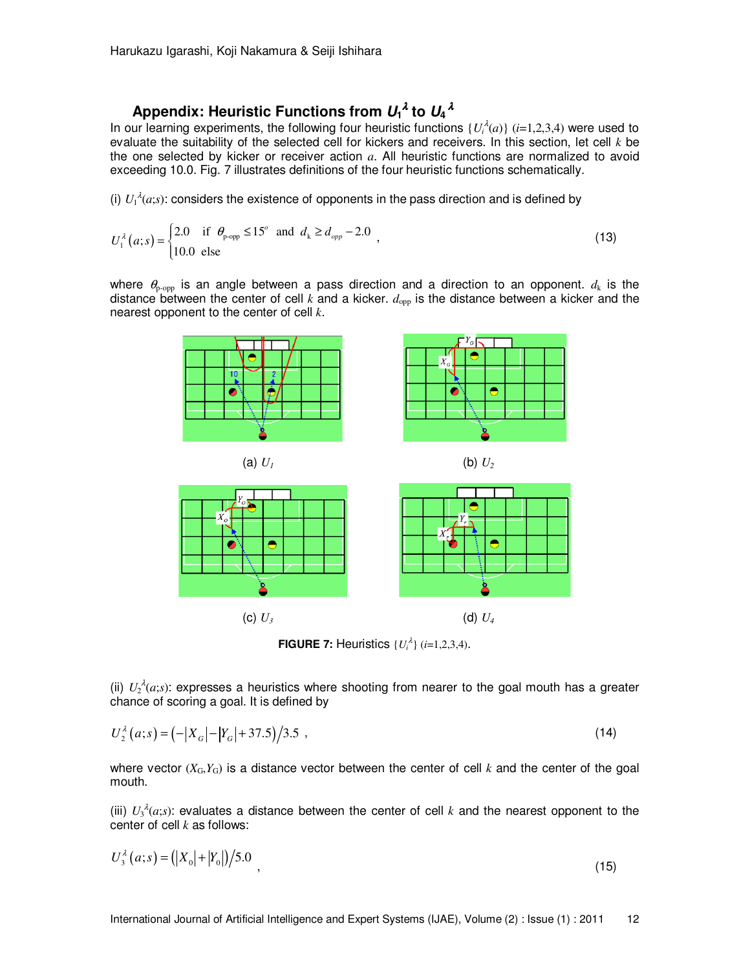# Appendix: Heuristic Functions from  $U_1{}^{\lambda}$  to  $U_4{}^{\lambda}$

In our learning experiments, the following four heuristic functions  $\{U_i^{\lambda}(a)\}$  (*i*=1,2,3,4) were used to evaluate the suitability of the selected cell for kickers and receivers. In this section, let cell *k* be the one selected by kicker or receiver action *a*. All heuristic functions are normalized to avoid exceeding 10.0. Fig. 7 illustrates definitions of the four heuristic functions schematically.

(i)  $U_1^{\lambda}(a;s)$ : considers the existence of opponents in the pass direction and is defined by

$$
U_1^{\lambda}(a;s) = \begin{cases} 2.0 & \text{if } \theta_{\text{p-op}} \le 15^{\circ} \text{ and } d_k \ge d_{opp} - 2.0 \\ 10.0 & \text{else} \end{cases}
$$
 (13)

where  $\theta_{p\text{-opp}}$  is an angle between a pass direction and a direction to an opponent.  $d_k$  is the distance between the center of cell  $k$  and a kicker.  $d_{opp}$  is the distance between a kicker and the nearest opponent to the center of cell *k*.



**FIGURE 7:** Heuristics  $\{U_i^{\lambda}\}\ (i=1,2,3,4)$ .

(ii)  $U_2^{\lambda}(a;s)$ : expresses a heuristics where shooting from nearer to the goal mouth has a greater chance of scoring a goal. It is defined by

$$
U_2^{\lambda}(a;s) = \left(-|X_a| - |Y_a| + 37.5\right)/3.5
$$
\n<sup>(14)</sup>

where vector  $(X_G, Y_G)$  is a distance vector between the center of cell  $k$  and the center of the goal mouth.

(iii)  $U_3^{\lambda}(a,s)$ : evaluates a distance between the center of cell *k* and the nearest opponent to the center of cell *k* as follows:

$$
U_3^{\lambda}(a;s) = (|X_0| + |Y_0|) \big/ 5.0
$$
\n(15)